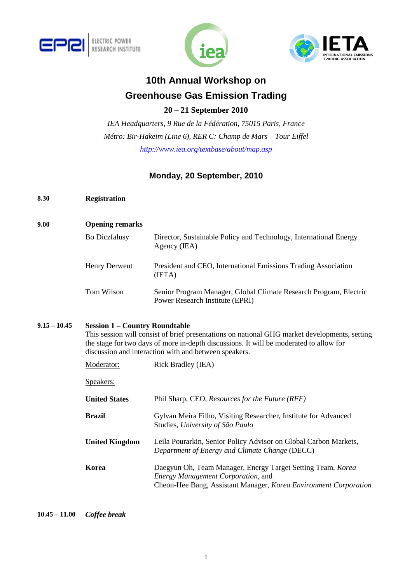





# **10th Annual Workshop on Greenhouse Gas Emission Trading**

**20 – 21 September 2010** 

*IEA Headquarters, 9 Rue de la Fédération, 75015 Paris, France Métro: Bir-Hakeim (Line 6), RER C: Champ de Mars – Tour Eiffel http://www.iea.org/textbase/about/map.asp* 

# **Monday, 20 September, 2010**

- **8.30 Registration**
- **9.00 Opening remarks**  Bo Diczfalusy Director, Sustainable Policy and Technology, International Energy Agency (IEA) Henry Derwent President and CEO, International Emissions Trading Association (IETA) Tom Wilson Senior Program Manager, Global Climate Research Program, Electric Power Research Institute (EPRI)

## **9.15 – 10.45 Session 1 – Country Roundtable**

This session will consist of brief presentations on national GHG market developments, setting the stage for two days of more in-depth discussions*.* It will be moderated to allow for discussion and interaction with and between speakers.

| Moderator:            | <b>Rick Bradley (IEA)</b>                                                                                                                                             |
|-----------------------|-----------------------------------------------------------------------------------------------------------------------------------------------------------------------|
| Speakers:             |                                                                                                                                                                       |
| <b>United States</b>  | Phil Sharp, CEO, Resources for the Future (RFF)                                                                                                                       |
| Brazil                | Gylvan Meira Filho, Visiting Researcher, Institute for Advanced<br>Studies, University of São Paulo                                                                   |
| <b>United Kingdom</b> | Leila Pourarkin, Senior Policy Advisor on Global Carbon Markets,<br>Department of Energy and Climate Change (DECC)                                                    |
| Korea                 | Daegyun Oh, Team Manager, Energy Target Setting Team, Korea<br>Energy Management Corporation, and<br>Cheon-Hee Bang, Assistant Manager, Korea Environment Corporation |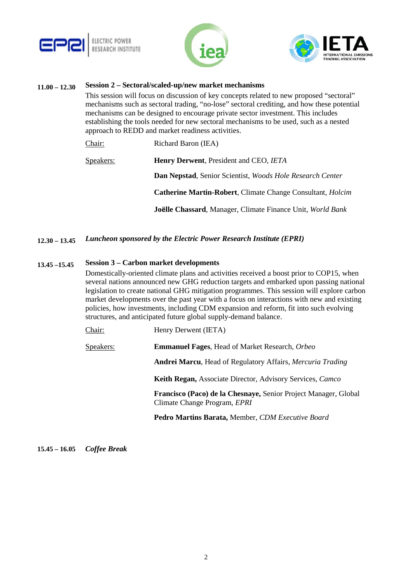





## **11.00 – 12.30 Session 2 – Sectoral/scaled-up/new market mechanisms**

This session will focus on discussion of key concepts related to new proposed "sectoral" mechanisms such as sectoral trading, "no-lose" sectoral crediting, and how these potential mechanisms can be designed to encourage private sector investment. This includes establishing the tools needed for new sectoral mechanisms to be used, such as a nested approach to REDD and market readiness activities.

| Chair:    | Richard Baron (IEA)                                               |
|-----------|-------------------------------------------------------------------|
| Speakers: | <b>Henry Derwent, President and CEO, IETA</b>                     |
|           | <b>Dan Nepstad, Senior Scientist, Woods Hole Research Center</b>  |
|           | Catherine Martin-Robert, Climate Change Consultant, <i>Holcim</i> |
|           | <b>Joëlle Chassard, Manager, Climate Finance Unit, World Bank</b> |

**12.30 – 13.45** *Luncheon sponsored by the Electric Power Research Institute (EPRI)* 

### **13.45 –15.45 Session 3 – Carbon market developments**

Domestically-oriented climate plans and activities received a boost prior to COP15, when several nations announced new GHG reduction targets and embarked upon passing national legislation to create national GHG mitigation programmes. This session will explore carbon market developments over the past year with a focus on interactions with new and existing policies, how investments, including CDM expansion and reform, fit into such evolving structures, and anticipated future global supply-demand balance.

| Chair: | Henry Derwent (IETA) |
|--------|----------------------|
|--------|----------------------|

Speakers: **Emmanuel Fages**, Head of Market Research, *Orbeo*

 **Andrei Marcu**, Head of Regulatory Affairs, *Mercuria Trading* 

 **Keith Regan,** Associate Director, Advisory Services, *Camco*

 **Francisco (Paco) de la Chesnaye,** Senior Project Manager, Global Climate Change Program, *EPRI*

 **Pedro Martins Barata,** Member, *CDM Executive Board*

#### **15.45 – 16.05** *Coffee Break*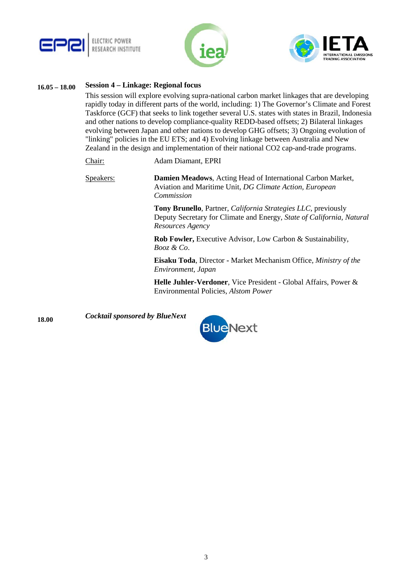





### **16.05 – 18.00 Session 4 – Linkage: Regional focus**

This session will explore evolving supra-national carbon market linkages that are developing rapidly today in different parts of the world, including: 1) The Governor's Climate and Forest Taskforce (GCF) that seeks to link together several U.S. states with states in Brazil, Indonesia and other nations to develop compliance-quality REDD-based offsets; 2) Bilateral linkages evolving between Japan and other nations to develop GHG offsets; 3) Ongoing evolution of "linking" policies in the EU ETS; and 4) Evolving linkage between Australia and New Zealand in the design and implementation of their national CO2 cap-and-trade programs.

- Chair: Adam Diamant, EPRI
- Speakers: **Damien Meadows**, Acting Head of International Carbon Market, Aviation and Maritime Unit*, DG Climate Action, European Commission*

**Tony Brunello**, Partner, *California Strategies LLC,* previously Deputy Secretary for Climate and Energy, *State of California, Natural Resources Agency*

 **Rob Fowler,** Executive Advisor, Low Carbon & Sustainability, *Booz & Co*.

 **Eisaku Toda**, Director **-** Market Mechanism Office*, Ministry of the Environment, Japan*

 **Helle Juhler-Verdoner**, Vice President - Global Affairs, Power & Environmental Policies, *Alstom Power*

**18.00** *Cocktail sponsored by BlueNext*

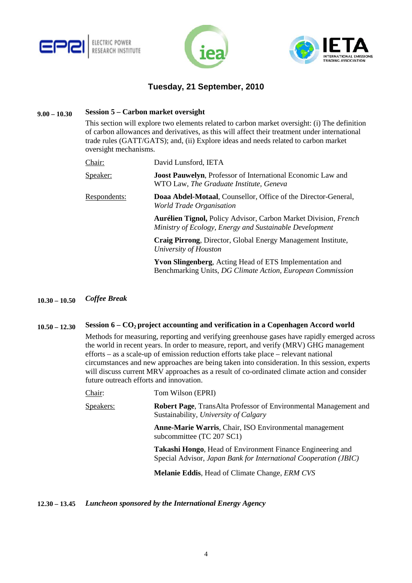





# **Tuesday, 21 September, 2010**

### **9.00 – 10.30 Session 5 – Carbon market oversight**

This section will explore two elements related to carbon market oversight: (i) The definition of carbon allowances and derivatives, as this will affect their treatment under international trade rules (GATT/GATS); and, (ii) Explore ideas and needs related to carbon market oversight mechanisms.

| Chair:              | David Lunsford, IETA                                                                                                              |
|---------------------|-----------------------------------------------------------------------------------------------------------------------------------|
| Speaker:            | <b>Joost Pauwelyn, Professor of International Economic Law and</b><br>WTO Law, The Graduate Institute, Geneva                     |
| <u>Respondents:</u> | Doaa Abdel-Motaal, Counsellor, Office of the Director-General,<br>World Trade Organisation                                        |
|                     | <b>Aurélien Tignol, Policy Advisor, Carbon Market Division, French</b><br>Ministry of Ecology, Energy and Sustainable Development |
|                     | Craig Pirrong, Director, Global Energy Management Institute,<br>University of Houston                                             |
|                     | <b>Yvon Slingenberg, Acting Head of ETS Implementation and</b><br>Benchmarking Units, DG Climate Action, European Commission      |

### **10.30 – 10.50** *Coffee Break*

## **10.50 – 12.30 Session 6 – CO2 project accounting and verification in a Copenhagen Accord world**

Methods for measuring, reporting and verifying greenhouse gases have rapidly emerged across the world in recent years. In order to measure, report, and verify (MRV) GHG management efforts – as a scale-up of emission reduction efforts take place – relevant national circumstances and new approaches are being taken into consideration. In this session, experts will discuss current MRV approaches as a result of co-ordinated climate action and consider future outreach efforts and innovation.

Speakers: **Robert Page**, TransAlta Professor of Environmental Management and Sustainability, *University of Calgary*

> **Anne-Marie Warris**, Chair, ISO Environmental management subcommittee (TC 207 SC1)

**Takashi Hongo**, Head of Environment Finance Engineering and Special Advisor, *Japan Bank for International Cooperation (JBIC)*

**Melanie Eddis**, Head of Climate Change, *ERM CVS*

### **12.30 – 13.45** *Luncheon sponsored by the International Energy Agency*